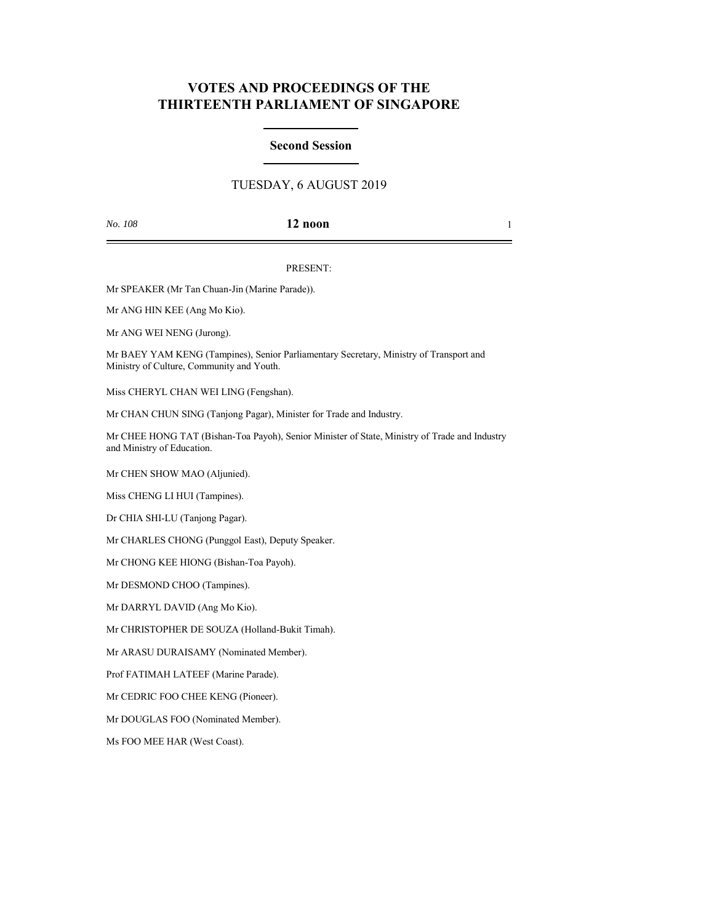# **VOTES AND PROCEEDINGS OF THE THIRTEENTH PARLIAMENT OF SINGAPORE**

## **Second Session**

# TUESDAY, 6 AUGUST 2019

## *No. 108* **12 noon** 1

### PRESENT:

Mr SPEAKER (Mr Tan Chuan-Jin (Marine Parade)).

Mr ANG HIN KEE (Ang Mo Kio).

Mr ANG WEI NENG (Jurong).

Mr BAEY YAM KENG (Tampines), Senior Parliamentary Secretary, Ministry of Transport and Ministry of Culture, Community and Youth.

Miss CHERYL CHAN WEI LING (Fengshan).

Mr CHAN CHUN SING (Tanjong Pagar), Minister for Trade and Industry.

Mr CHEE HONG TAT (Bishan-Toa Payoh), Senior Minister of State, Ministry of Trade and Industry and Ministry of Education.

Mr CHEN SHOW MAO (Aljunied).

Miss CHENG LI HUI (Tampines).

Dr CHIA SHI-LU (Tanjong Pagar).

Mr CHARLES CHONG (Punggol East), Deputy Speaker.

Mr CHONG KEE HIONG (Bishan-Toa Payoh).

Mr DESMOND CHOO (Tampines).

Mr DARRYL DAVID (Ang Mo Kio).

Mr CHRISTOPHER DE SOUZA (Holland-Bukit Timah).

Mr ARASU DURAISAMY (Nominated Member).

Prof FATIMAH LATEEF (Marine Parade).

Mr CEDRIC FOO CHEE KENG (Pioneer).

Mr DOUGLAS FOO (Nominated Member).

Ms FOO MEE HAR (West Coast).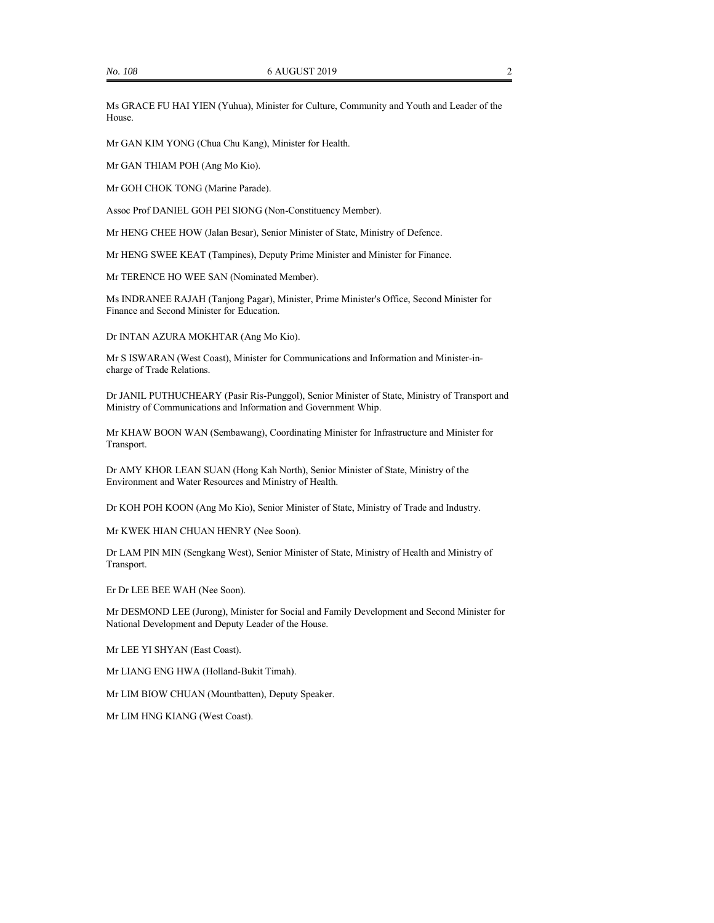Ms GRACE FU HAI YIEN (Yuhua), Minister for Culture, Community and Youth and Leader of the House.

Mr GAN KIM YONG (Chua Chu Kang), Minister for Health.

Mr GAN THIAM POH (Ang Mo Kio).

Mr GOH CHOK TONG (Marine Parade).

Assoc Prof DANIEL GOH PEI SIONG (Non-Constituency Member).

Mr HENG CHEE HOW (Jalan Besar), Senior Minister of State, Ministry of Defence.

Mr HENG SWEE KEAT (Tampines), Deputy Prime Minister and Minister for Finance.

Mr TERENCE HO WEE SAN (Nominated Member).

Ms INDRANEE RAJAH (Tanjong Pagar), Minister, Prime Minister's Office, Second Minister for Finance and Second Minister for Education.

Dr INTAN AZURA MOKHTAR (Ang Mo Kio).

Mr S ISWARAN (West Coast), Minister for Communications and Information and Minister-incharge of Trade Relations.

Dr JANIL PUTHUCHEARY (Pasir Ris-Punggol), Senior Minister of State, Ministry of Transport and Ministry of Communications and Information and Government Whip.

Mr KHAW BOON WAN (Sembawang), Coordinating Minister for Infrastructure and Minister for Transport.

Dr AMY KHOR LEAN SUAN (Hong Kah North), Senior Minister of State, Ministry of the Environment and Water Resources and Ministry of Health.

Dr KOH POH KOON (Ang Mo Kio), Senior Minister of State, Ministry of Trade and Industry.

Mr KWEK HIAN CHUAN HENRY (Nee Soon).

Dr LAM PIN MIN (Sengkang West), Senior Minister of State, Ministry of Health and Ministry of Transport.

Er Dr LEE BEE WAH (Nee Soon).

Mr DESMOND LEE (Jurong), Minister for Social and Family Development and Second Minister for National Development and Deputy Leader of the House.

Mr LEE YI SHYAN (East Coast).

Mr LIANG ENG HWA (Holland-Bukit Timah).

Mr LIM BIOW CHUAN (Mountbatten), Deputy Speaker.

Mr LIM HNG KIANG (West Coast).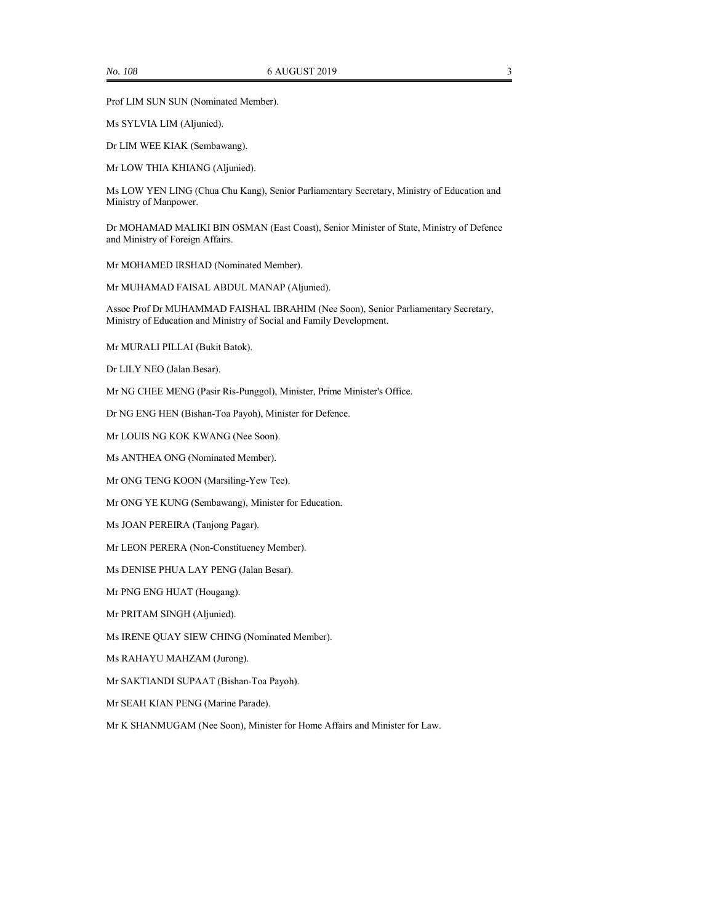Prof LIM SUN SUN (Nominated Member).

Ms SYLVIA LIM (Aljunied).

Dr LIM WEE KIAK (Sembawang).

Mr LOW THIA KHIANG (Aljunied).

Ms LOW YEN LING (Chua Chu Kang), Senior Parliamentary Secretary, Ministry of Education and Ministry of Manpower.

Dr MOHAMAD MALIKI BIN OSMAN (East Coast), Senior Minister of State, Ministry of Defence and Ministry of Foreign Affairs.

Mr MOHAMED IRSHAD (Nominated Member).

Mr MUHAMAD FAISAL ABDUL MANAP (Aljunied).

Assoc Prof Dr MUHAMMAD FAISHAL IBRAHIM (Nee Soon), Senior Parliamentary Secretary, Ministry of Education and Ministry of Social and Family Development.

Mr MURALI PILLAI (Bukit Batok).

Dr LILY NEO (Jalan Besar).

Mr NG CHEE MENG (Pasir Ris-Punggol), Minister, Prime Minister's Office.

Dr NG ENG HEN (Bishan-Toa Payoh), Minister for Defence.

Mr LOUIS NG KOK KWANG (Nee Soon).

Ms ANTHEA ONG (Nominated Member).

Mr ONG TENG KOON (Marsiling-Yew Tee).

Mr ONG YE KUNG (Sembawang), Minister for Education.

Ms JOAN PEREIRA (Tanjong Pagar).

Mr LEON PERERA (Non-Constituency Member).

Ms DENISE PHUA LAY PENG (Jalan Besar).

Mr PNG ENG HUAT (Hougang).

Mr PRITAM SINGH (Aljunied).

Ms IRENE QUAY SIEW CHING (Nominated Member).

Ms RAHAYU MAHZAM (Jurong).

Mr SAKTIANDI SUPAAT (Bishan-Toa Payoh).

Mr SEAH KIAN PENG (Marine Parade).

Mr K SHANMUGAM (Nee Soon), Minister for Home Affairs and Minister for Law.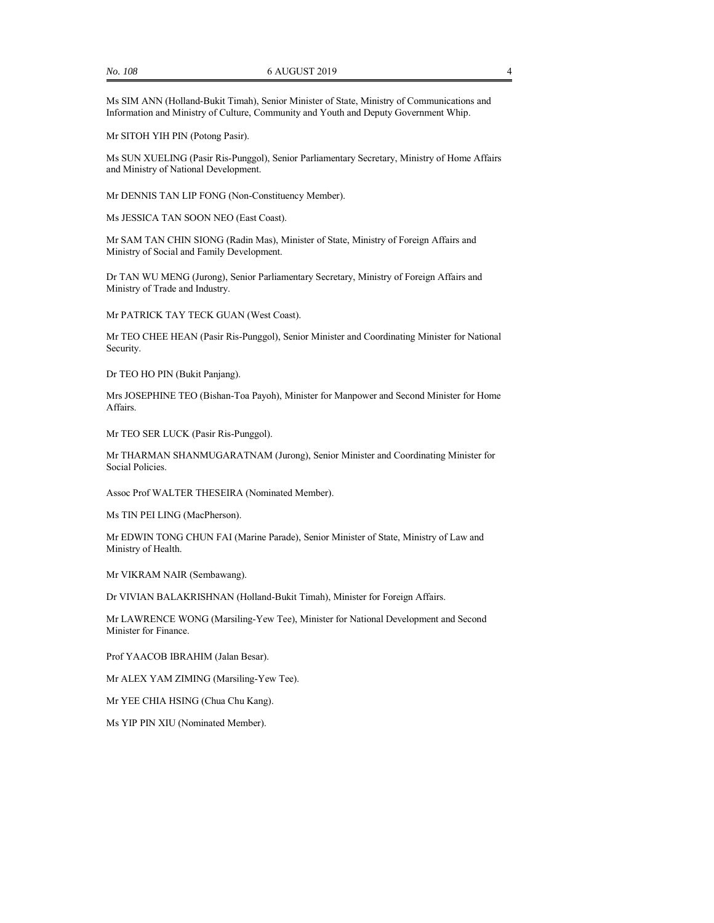Ms SIM ANN (Holland-Bukit Timah), Senior Minister of State, Ministry of Communications and Information and Ministry of Culture, Community and Youth and Deputy Government Whip.

Mr SITOH YIH PIN (Potong Pasir).

Ms SUN XUELING (Pasir Ris-Punggol), Senior Parliamentary Secretary, Ministry of Home Affairs and Ministry of National Development.

Mr DENNIS TAN LIP FONG (Non-Constituency Member).

Ms JESSICA TAN SOON NEO (East Coast).

Mr SAM TAN CHIN SIONG (Radin Mas), Minister of State, Ministry of Foreign Affairs and Ministry of Social and Family Development.

Dr TAN WU MENG (Jurong), Senior Parliamentary Secretary, Ministry of Foreign Affairs and Ministry of Trade and Industry.

Mr PATRICK TAY TECK GUAN (West Coast).

Mr TEO CHEE HEAN (Pasir Ris-Punggol), Senior Minister and Coordinating Minister for National Security.

Dr TEO HO PIN (Bukit Panjang).

Mrs JOSEPHINE TEO (Bishan-Toa Payoh), Minister for Manpower and Second Minister for Home Affairs.

Mr TEO SER LUCK (Pasir Ris-Punggol).

Mr THARMAN SHANMUGARATNAM (Jurong), Senior Minister and Coordinating Minister for Social Policies.

Assoc Prof WALTER THESEIRA (Nominated Member).

Ms TIN PEI LING (MacPherson).

Mr EDWIN TONG CHUN FAI (Marine Parade), Senior Minister of State, Ministry of Law and Ministry of Health.

Mr VIKRAM NAIR (Sembawang).

Dr VIVIAN BALAKRISHNAN (Holland-Bukit Timah), Minister for Foreign Affairs.

Mr LAWRENCE WONG (Marsiling-Yew Tee), Minister for National Development and Second Minister for Finance.

Prof YAACOB IBRAHIM (Jalan Besar).

Mr ALEX YAM ZIMING (Marsiling-Yew Tee).

Mr YEE CHIA HSING (Chua Chu Kang).

Ms YIP PIN XIU (Nominated Member).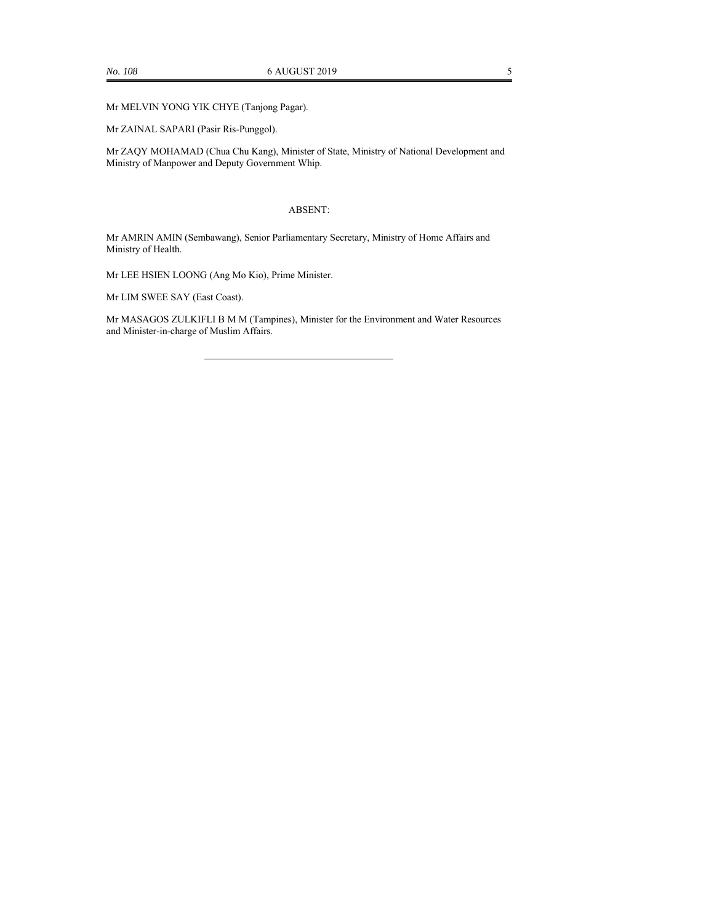Mr MELVIN YONG YIK CHYE (Tanjong Pagar).

Mr ZAINAL SAPARI (Pasir Ris-Punggol).

Mr ZAQY MOHAMAD (Chua Chu Kang), Minister of State, Ministry of National Development and Ministry of Manpower and Deputy Government Whip.

#### ABSENT:

Mr AMRIN AMIN (Sembawang), Senior Parliamentary Secretary, Ministry of Home Affairs and Ministry of Health.

Mr LEE HSIEN LOONG (Ang Mo Kio), Prime Minister.

Mr LIM SWEE SAY (East Coast).

Mr MASAGOS ZULKIFLI B M M (Tampines), Minister for the Environment and Water Resources and Minister-in-charge of Muslim Affairs.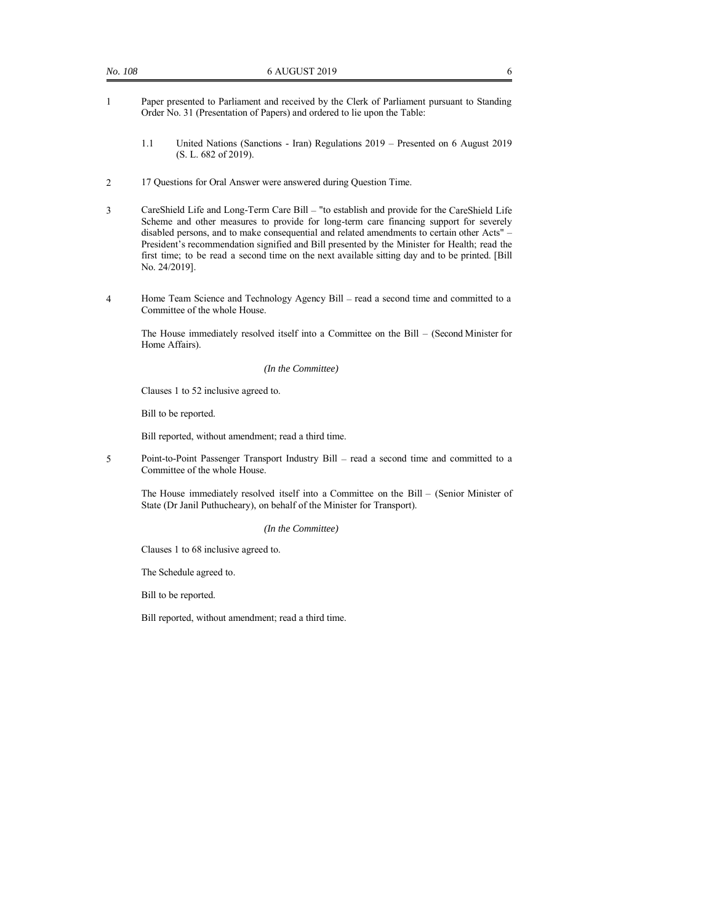- 1 Paper presented to Parliament and received by the Clerk of Parliament pursuant to Standing Order No. 31 (Presentation of Papers) and ordered to lie upon the Table:
	- 1.1 United Nations (Sanctions Iran) Regulations 2019 Presented on 6 August 2019 (S. L. 682 of 2019).
- 2 17 Questions for Oral Answer were answered during Question Time.
- 3 CareShield Life and Long-Term Care Bill "to establish and provide for the CareShield Life Scheme and other measures to provide for long-term care financing support for severely disabled persons, and to make consequential and related amendments to certain other Acts" – President's recommendation signified and Bill presented by the Minister for Health; read the first time; to be read a second time on the next available sitting day and to be printed. [Bill No. 24/2019].
- 4 Home Team Science and Technology Agency Bill read a second time and committed to a Committee of the whole House.

The House immediately resolved itself into a Committee on the Bill – (Second Minister for Home Affairs).

#### *(In the Committee)*

Clauses 1 to 52 inclusive agreed to.

Bill to be reported.

Bill reported, without amendment; read a third time.

5 Point-to-Point Passenger Transport Industry Bill – read a second time and committed to a Committee of the whole House.

The House immediately resolved itself into a Committee on the Bill – (Senior Minister of State (Dr Janil Puthucheary), on behalf of the Minister for Transport).

#### *(In the Committee)*

Clauses 1 to 68 inclusive agreed to.

The Schedule agreed to.

Bill to be reported.

Bill reported, without amendment; read a third time.